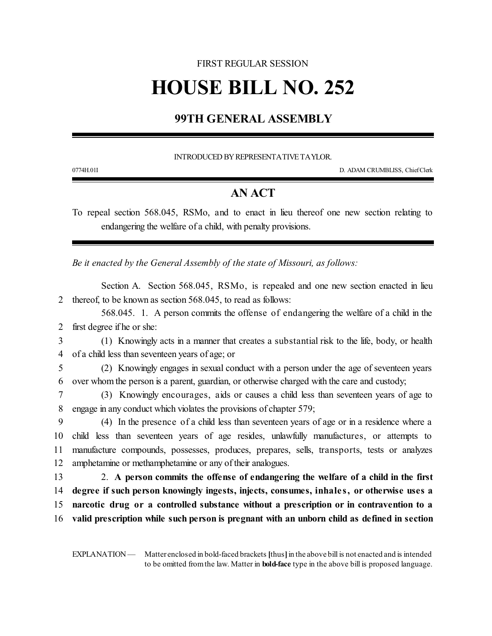## FIRST REGULAR SESSION

# **HOUSE BILL NO. 252**

# **99TH GENERAL ASSEMBLY**

INTRODUCED BYREPRESENTATIVETAYLOR.

0774H.01I D. ADAM CRUMBLISS, ChiefClerk

### **AN ACT**

To repeal section 568.045, RSMo, and to enact in lieu thereof one new section relating to endangering the welfare of a child, with penalty provisions.

*Be it enacted by the General Assembly of the state of Missouri, as follows:*

Section A. Section 568.045, RSMo, is repealed and one new section enacted in lieu 2 thereof, to be known as section 568.045, to read as follows:

568.045. 1. A person commits the offense of endangering the welfare of a child in the 2 first degree if he or she:

3 (1) Knowingly acts in a manner that creates a substantial risk to the life, body, or health 4 of a child less than seventeen years of age; or

5 (2) Knowingly engages in sexual conduct with a person under the age of seventeen years 6 over whom the person is a parent, guardian, or otherwise charged with the care and custody;

7 (3) Knowingly encourages, aids or causes a child less than seventeen years of age to 8 engage in any conduct which violates the provisions of chapter 579;

 (4) In the presence of a child less than seventeen years of age or in a residence where a child less than seventeen years of age resides, unlawfully manufactures, or attempts to manufacture compounds, possesses, produces, prepares, sells, transports, tests or analyzes 12 amphetamine or methamphetamine or any of their analogues.

 2. **A person commits the offense of endangering the welfare of a child in the first degree if such person knowingly ingests, injects, consumes, inhale s, or otherwise uses a narcotic drug or a controlled substance without a prescription or in contravention to a valid prescription while such person is pregnant with an unborn child as defined in section**

EXPLANATION — Matter enclosed in bold-faced brackets [thus] in the above bill is not enacted and is intended to be omitted fromthe law. Matter in **bold-face** type in the above bill is proposed language.